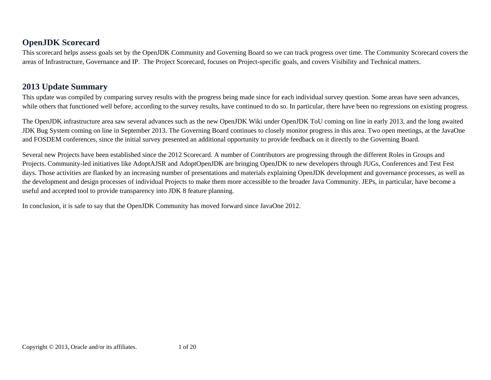# **OpenJDK Scorecard**

This scorecard helps assess goals set by the OpenJDK Community and Governing Board so we can track progress over time. The Community Scorecard covers the areas of Infrastructure, Governance and IP. The Project Scorecard, focuses on Project-specific goals, and covers Visibility and Technical matters.

# **2013 Update Summary**

This update was compiled by comparing survey results with the progress being made since for each individual survey question. Some areas have seen advances, while others that functioned well before, according to the survey results, have continued to do so. In particular, there have been no regressions on existing progress.

The OpenJDK infrastructure area saw several advances such as the new OpenJDK Wiki under OpenJDK ToU coming on line in early 2013, and the long awaited JDK Bug System coming on line in September 2013. The Governing Board continues to closely monitor progress in this area. Two open meetings, at the JavaOne and FOSDEM conferences, since the initial survey presented an additional opportunity to provide feedback on it directly to the Governing Board.

Several new Projects have been established since the 2012 Scorecard. A number of Contributors are progressing through the different Roles in Groups and Projects. Community-led initiatives like AdoptAJSR and AdoptOpenJDK are bringing OpenJDK to new developers through JUGs, Conferences and Test Fest days. Those activities are flanked by an increasing number of presentations and materials explaining OpenJDK development and governance processes, as well as the development and design processes of individual Projects to make them more accessible to the broader Java Community. JEPs, in particular, have become a useful and accepted tool to provide transparency into JDK 8 feature planning.

In conclusion, it is safe to say that the OpenJDK Community has moved forward since JavaOne 2012.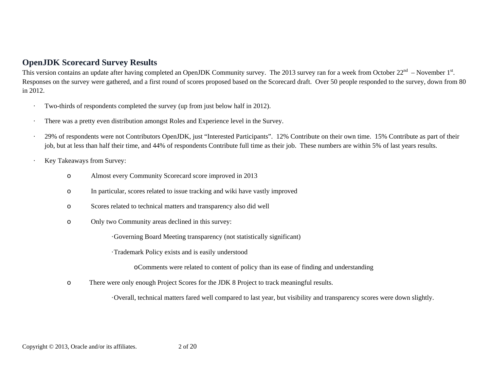### **OpenJDK Scorecard Survey Results**

This version contains an update after having completed an OpenJDK Community survey. The 2013 survey ran for a week from October 22<sup>nd</sup> – November 1<sup>st</sup>. Responses on the survey were gathered, and a first round of scores proposed based on the Scorecard draft. Over 50 people responded to the survey, down from 80 in 2012.

- Two-thirds of respondents completed the survey (up from just below half in 2012).
- There was a pretty even distribution amongst Roles and Experience level in the Survey.
- 29% of respondents were not Contributors OpenJDK, just "Interested Participants". 12% Contribute on their own time. 15% Contribute as part of their job, but at less than half their time, and 44% of respondents Contribute full time as their job. These numbers are within 5% of last years results.
- Key Takeaways from Survey:
	- <sup>o</sup> Almost every Community Scorecard score improved in 2013
	- <sup>o</sup> In particular, scores related to issue tracking and wiki have vastly improved
	- <sup>o</sup> Scores related to technical matters and transparency also did well
	- <sup>o</sup> Only two Community areas declined in this survey:

·Governing Board Meeting transparency (not statistically significant)

·Trademark Policy exists and is easily understood

<sup>o</sup>Comments were related to content of policy than its ease of finding and understanding

oThere were only enough Project Scores for the JDK 8 Project to track meaningful results.

·Overall, technical matters fared well compared to last year, but visibility and transparency scores were down slightly.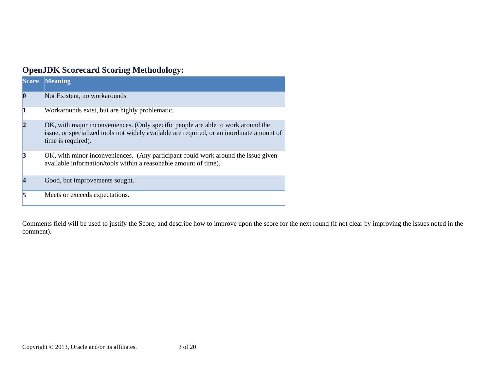# **OpenJDK Scorecard Scoring Methodology:**

| <b>Score</b> | <b>Meaning</b>                                                                                                                                                                                      |
|--------------|-----------------------------------------------------------------------------------------------------------------------------------------------------------------------------------------------------|
| O            | Not Existent, no workarounds                                                                                                                                                                        |
|              | Workarounds exist, but are highly problematic.                                                                                                                                                      |
|              | OK, with major inconveniences. (Only specific people are able to work around the<br>issue, or specialized tools not widely available are required, or an inordinate amount of<br>time is required). |
|              | OK, with minor inconveniences. (Any participant could work around the issue given<br>available information/tools within a reasonable amount of time).                                               |
|              | Good, but improvements sought.                                                                                                                                                                      |
|              | Meets or exceeds expectations.                                                                                                                                                                      |

Comments field will be used to justify the Score, and describe how to improve upon the score for the next round (if not clear by improving the issues noted in the comment).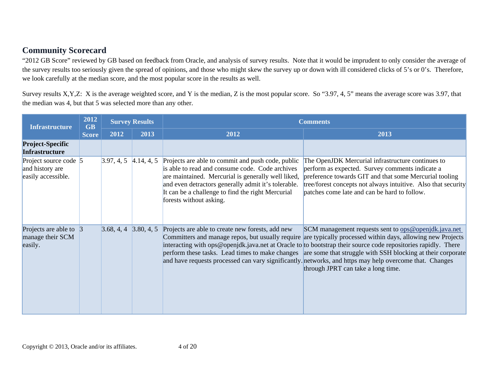# **Community Scorecard**

"2012 GB Score" reviewed by GB based on feedback from Oracle, and analysis of survey results. Note that it would be imprudent to only consider the average of the survey results too seriously given the spread of opinions, and those who might skew the survey up or down with ill considered clicks of 5's or 0's. Therefore, we look carefully at the median score, and the most popular score in the results as well.

Survey results X,Y,Z: X is the average weighted score, and Y is the median, Z is the most popular score. So "3.97, 4, 5" means the average score was 3.97, that the median was 4, but that 5 was selected more than any other.

| <b>Infrastructure</b>                                          | 2012<br><b>GB</b> | <b>Survey Results</b>     |            | <b>Comments</b>                                                                                                                                                                                                                                                                                   |                                                                                                                                                                                                                                                                                                                                                                                                                                                                                                                                                             |  |  |  |
|----------------------------------------------------------------|-------------------|---------------------------|------------|---------------------------------------------------------------------------------------------------------------------------------------------------------------------------------------------------------------------------------------------------------------------------------------------------|-------------------------------------------------------------------------------------------------------------------------------------------------------------------------------------------------------------------------------------------------------------------------------------------------------------------------------------------------------------------------------------------------------------------------------------------------------------------------------------------------------------------------------------------------------------|--|--|--|
|                                                                | <b>Score</b>      | 2012                      | 2013       | 2012                                                                                                                                                                                                                                                                                              | 2013                                                                                                                                                                                                                                                                                                                                                                                                                                                                                                                                                        |  |  |  |
| <b>Project-Specific</b><br><b>Infrastructure</b>               |                   |                           |            |                                                                                                                                                                                                                                                                                                   |                                                                                                                                                                                                                                                                                                                                                                                                                                                                                                                                                             |  |  |  |
| Project source code 5<br>and history are<br>easily accessible. |                   | 3.97, 4, 5                | 4.14, 4, 5 | Projects are able to commit and push code, public<br>is able to read and consume code. Code archives<br>are maintained. Mercurial is generally well liked,<br>and even detractors generally admit it's tolerable.<br>It can be a challenge to find the right Mercurial<br>forests without asking. | The OpenJDK Mercurial infrastructure continues to<br>perform as expected. Survey comments indicate a<br>preference towards GIT and that some Mercurial tooling<br>tree/forest concepts not always intuitive. Also that security<br>patches come late and can be hard to follow.                                                                                                                                                                                                                                                                             |  |  |  |
| Projects are able to $\beta$<br>manage their SCM<br>easily.    |                   | $3.68, 4, 4$ $3.80, 4, 5$ |            | Projects are able to create new forests, add new                                                                                                                                                                                                                                                  | SCM management requests sent to <u>ops@openjdk.java.net</u><br>Committers and manage repos, but usually require are typically processed within days, allowing new Projects<br>interacting with ops@openjdk.java.net at Oracle to to bootstrap their source code repositories rapidly. There<br>perform these tasks. Lead times to make changes are some that struggle with SSH blocking at their corporate<br>and have requests processed can vary significantly. networks, and https may help overcome that. Changes<br>through JPRT can take a long time. |  |  |  |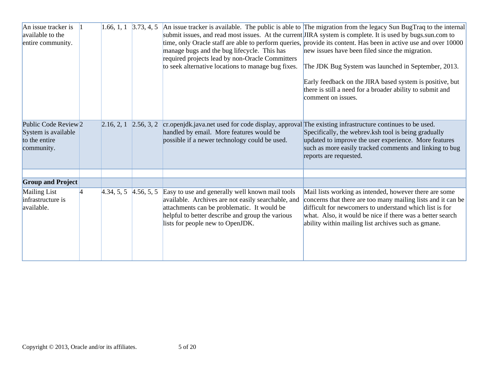| An issue tracker is<br>available to the<br>entire community.                          |   | 1.66, 1, 1 | 3.73, 4, 5 | manage bugs and the bug lifecycle. This has<br>required projects lead by non-Oracle Committers<br>to seek alternative locations to manage bug fixes.                                                                                         | An issue tracker is available. The public is able to The migration from the legacy Sun BugTraq to the internal<br>submit issues, and read most issues. At the current JIRA system is complete. It is used by bugs.sun.com to<br>time, only Oracle staff are able to perform queries, provide its content. Has been in active use and over 10000<br>new issues have been filed since the migration.<br>The JDK Bug System was launched in September, 2013.<br>Early feedback on the JIRA based system is positive, but<br>there is still a need for a broader ability to submit and<br>comment on issues. |
|---------------------------------------------------------------------------------------|---|------------|------------|----------------------------------------------------------------------------------------------------------------------------------------------------------------------------------------------------------------------------------------------|----------------------------------------------------------------------------------------------------------------------------------------------------------------------------------------------------------------------------------------------------------------------------------------------------------------------------------------------------------------------------------------------------------------------------------------------------------------------------------------------------------------------------------------------------------------------------------------------------------|
| Public Code Review <sub>2</sub><br>System is available<br>to the entire<br>community. |   | 2.16, 2, 1 | 2.56, 3, 2 | cr.openjdk.java.net used for code display, approval The existing infrastructure continues to be used.<br>handled by email. More features would be<br>possible if a newer technology could be used.                                           | Specifically, the webrev ksh tool is being gradually<br>updated to improve the user experience. More features<br>such as more easily tracked comments and linking to bug<br>reports are requested.                                                                                                                                                                                                                                                                                                                                                                                                       |
|                                                                                       |   |            |            |                                                                                                                                                                                                                                              |                                                                                                                                                                                                                                                                                                                                                                                                                                                                                                                                                                                                          |
| <b>Group and Project</b>                                                              |   |            |            |                                                                                                                                                                                                                                              |                                                                                                                                                                                                                                                                                                                                                                                                                                                                                                                                                                                                          |
| Mailing List<br>infrastructure is<br>available.                                       | 4 | 4.34, 5, 5 | 4.56, 5, 5 | Easy to use and generally well known mail tools<br>available. Archives are not easily searchable, and<br>attachments can be problematic. It would be<br>helpful to better describe and group the various<br>lists for people new to OpenJDK. | Mail lists working as intended, however there are some<br>concerns that there are too many mailing lists and it can be<br>difficult for newcomers to understand which list is for<br>what. Also, it would be nice if there was a better search<br>ability within mailing list archives such as gmane.                                                                                                                                                                                                                                                                                                    |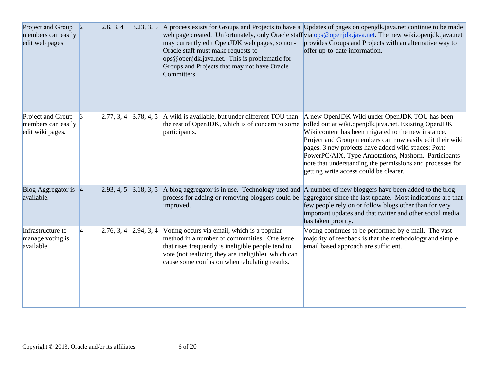| Project and Group 2<br>members can easily<br>edit web pages. |                 | 2.6, 3, 4               | 3.23, 3, 5 | may currently edit OpenJDK web pages, so non-<br>Oracle staff must make requests to<br>ops@openjdk.java.net. This is problematic for<br>Groups and Projects that may not have Oracle<br>Committers.                                                       | A process exists for Groups and Projects to have a Updates of pages on openjol k java net continue to be made<br>web page created. Unfortunately, only Oracle staff via ops@openjdk.java.net. The new wiki.openjdk.java.net<br>provides Groups and Projects with an alternative way to<br>offer up-to-date information.                                                                                                                         |
|--------------------------------------------------------------|-----------------|-------------------------|------------|-----------------------------------------------------------------------------------------------------------------------------------------------------------------------------------------------------------------------------------------------------------|-------------------------------------------------------------------------------------------------------------------------------------------------------------------------------------------------------------------------------------------------------------------------------------------------------------------------------------------------------------------------------------------------------------------------------------------------|
| Project and Group<br>members can easily<br>edit wiki pages.  | $\vert 3 \vert$ | $2.77, 3, 4$ 3.78, 4, 5 |            | A wiki is available, but under different TOU than<br>the rest of OpenJDK, which is of concern to some<br>participants.                                                                                                                                    | A new OpenJDK Wiki under OpenJDK TOU has been<br>rolled out at wiki.openjdk.java.net. Existing OpenJDK<br>Wiki content has been migrated to the new instance.<br>Project and Group members can now easily edit their wiki<br>pages. 3 new projects have added wiki spaces: Port:<br>PowerPC/AIX, Type Annotations, Nashorn. Participants<br>note that understanding the permissions and processes for<br>getting write access could be clearer. |
| Blog Aggregator is 4<br>available.                           |                 | $2.93, 4, 5$ 3.18, 3, 5 |            | improved.                                                                                                                                                                                                                                                 | A blog aggregator is in use. Technology used and A number of new bloggers have been added to the blog<br>process for adding or removing bloggers could be aggregator since the last update. Most indications are that<br>few people rely on or follow blogs other than for very<br>important updates and that twitter and other social media<br>has taken priority.                                                                             |
| Infrastructure to<br>manage voting is<br>available.          | $\overline{4}$  | $2.76, 3, 4$ 2.94, 3, 4 |            | Voting occurs via email, which is a popular<br>method in a number of communities. One issue<br>that rises frequently is ineligible people tend to<br>vote (not realizing they are ineligible), which can<br>cause some confusion when tabulating results. | Voting continues to be performed by e-mail. The vast<br>majority of feedback is that the methodology and simple<br>email based approach are sufficient.                                                                                                                                                                                                                                                                                         |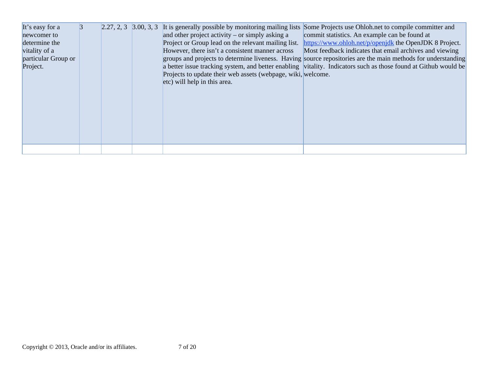| It's easy for a     | 3 |  |                                                              | 2.27, 2, 3 3.00, 3, 3 It is generally possible by monitoring mailing lists Some Projects use Ohloh net to compile committer and |
|---------------------|---|--|--------------------------------------------------------------|---------------------------------------------------------------------------------------------------------------------------------|
| newcomer to         |   |  | and other project activity – or simply asking a              | commit statistics. An example can be found at                                                                                   |
| determine the       |   |  | Project or Group lead on the relevant mailing list.          | https://www.ohloh.net/p/openjdk the OpenJDK 8 Project.                                                                          |
| vitality of a       |   |  | However, there isn't a consistent manner across              | Most feedback indicates that email archives and viewing                                                                         |
| particular Group or |   |  |                                                              | groups and projects to determine liveness. Having source repositories are the main methods for understanding                    |
| Project.            |   |  |                                                              | a better issue tracking system, and better enabling vitality. Indicators such as those found at Github would be                 |
|                     |   |  | Projects to update their web assets (webpage, wiki, welcome. |                                                                                                                                 |
|                     |   |  | etc) will help in this area.                                 |                                                                                                                                 |
|                     |   |  |                                                              |                                                                                                                                 |
|                     |   |  |                                                              |                                                                                                                                 |
|                     |   |  |                                                              |                                                                                                                                 |
|                     |   |  |                                                              |                                                                                                                                 |
|                     |   |  |                                                              |                                                                                                                                 |
|                     |   |  |                                                              |                                                                                                                                 |
|                     |   |  |                                                              |                                                                                                                                 |
|                     |   |  |                                                              |                                                                                                                                 |
|                     |   |  |                                                              |                                                                                                                                 |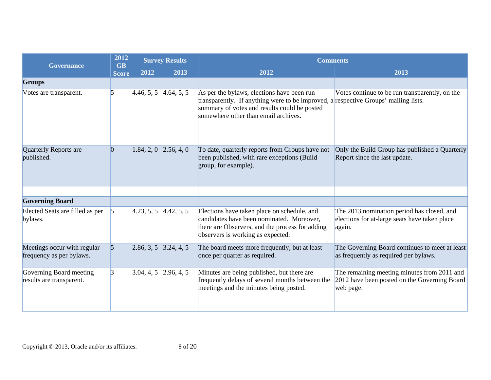| <b>Governance</b>                                       | 2012<br><b>GB</b> | <b>Survey Results</b>     |      | <b>Comments</b>                                                                                                                                                                                                           |                                                                                                          |  |
|---------------------------------------------------------|-------------------|---------------------------|------|---------------------------------------------------------------------------------------------------------------------------------------------------------------------------------------------------------------------------|----------------------------------------------------------------------------------------------------------|--|
|                                                         | <b>Score</b>      | 2012                      | 2013 | 2012                                                                                                                                                                                                                      | 2013                                                                                                     |  |
| <b>Groups</b>                                           |                   |                           |      |                                                                                                                                                                                                                           |                                                                                                          |  |
| Votes are transparent.                                  | 5                 | $4.46, 5, 5$ $4.64, 5, 5$ |      | As per the bylaws, elections have been run<br>transparently. If anything were to be improved, a respective Groups' mailing lists.<br>summary of votes and results could be posted<br>somewhere other than email archives. | Votes continue to be run transparently, on the                                                           |  |
| Quarterly Reports are<br>published.                     | $\vert 0 \vert$   | $1.84, 2, 0$ 2.56, 4, 0   |      | To date, quarterly reports from Groups have not<br>been published, with rare exceptions (Build<br>group, for example).                                                                                                    | Only the Build Group has published a Quarterly<br>Report since the last update.                          |  |
|                                                         |                   |                           |      |                                                                                                                                                                                                                           |                                                                                                          |  |
| <b>Governing Board</b>                                  |                   |                           |      |                                                                                                                                                                                                                           |                                                                                                          |  |
| Elected Seats are filled as per<br>bylaws.              | $\sqrt{5}$        | $4.23, 5, 5$ $4.42, 5, 5$ |      | Elections have taken place on schedule, and<br>candidates have been nominated. Moreover,<br>there are Observers, and the process for adding<br>observers is working as expected.                                          | The 2013 nomination period has closed, and<br>elections for at-large seats have taken place<br>again.    |  |
| Meetings occur with regular<br>frequency as per bylaws. | $\vert$ 5         | $2.86, 3, 5$ 3.24, 4, 5   |      | The board meets more frequently, but at least<br>once per quarter as required.                                                                                                                                            | The Governing Board continues to meet at least<br>as frequently as required per bylaws.                  |  |
| Governing Board meeting<br>results are transparent.     | $\overline{3}$    | $3.04, 4, 5$ 2.96, 4, 5   |      | Minutes are being published, but there are<br>frequently delays of several months between the<br>meetings and the minutes being posted.                                                                                   | The remaining meeting minutes from 2011 and<br>2012 have been posted on the Governing Board<br>web page. |  |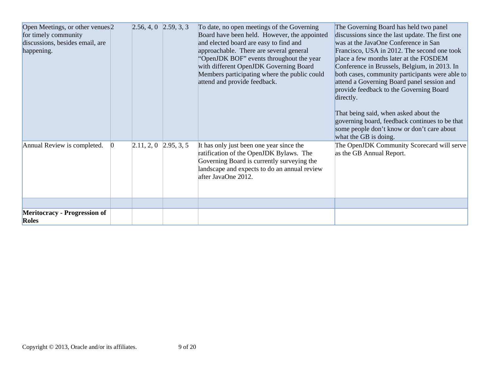| Open Meetings, or other venues <sup>2</sup><br>for timely community<br>discussions, besides email, are<br>happening. | $2.56, 4, 0$ $2.59, 3, 3$   | To date, no open meetings of the Governing<br>Board have been held. However, the appointed<br>and elected board are easy to find and<br>approachable. There are several general<br>"OpenJDK BOF" events throughout the year<br>with different OpenJDK Governing Board<br>Members participating where the public could<br>attend and provide feedback. | The Governing Board has held two panel<br>discussions since the last update. The first one<br>was at the JavaOne Conference in San<br>Francisco, USA in 2012. The second one took<br>place a few months later at the FOSDEM<br>Conference in Brussels, Belgium, in 2013. In<br>both cases, community participants were able to<br>attend a Governing Board panel session and<br>provide feedback to the Governing Board<br>directly.<br>That being said, when asked about the<br>governing board, feedback continues to be that<br>some people don't know or don't care about<br>what the GB is doing. |
|----------------------------------------------------------------------------------------------------------------------|-----------------------------|-------------------------------------------------------------------------------------------------------------------------------------------------------------------------------------------------------------------------------------------------------------------------------------------------------------------------------------------------------|--------------------------------------------------------------------------------------------------------------------------------------------------------------------------------------------------------------------------------------------------------------------------------------------------------------------------------------------------------------------------------------------------------------------------------------------------------------------------------------------------------------------------------------------------------------------------------------------------------|
| Annual Review is completed.                                                                                          | $[2.11, 2, 0 \ 2.95, 3, 5]$ | It has only just been one year since the<br>ratification of the OpenJDK Bylaws. The<br>Governing Board is currently surveying the<br>landscape and expects to do an annual review<br>after JavaOne 2012.                                                                                                                                              | The OpenJDK Community Scorecard will serve<br>as the GB Annual Report.                                                                                                                                                                                                                                                                                                                                                                                                                                                                                                                                 |
|                                                                                                                      |                             |                                                                                                                                                                                                                                                                                                                                                       |                                                                                                                                                                                                                                                                                                                                                                                                                                                                                                                                                                                                        |
| <b>Meritocracy - Progression of</b><br><b>Roles</b>                                                                  |                             |                                                                                                                                                                                                                                                                                                                                                       |                                                                                                                                                                                                                                                                                                                                                                                                                                                                                                                                                                                                        |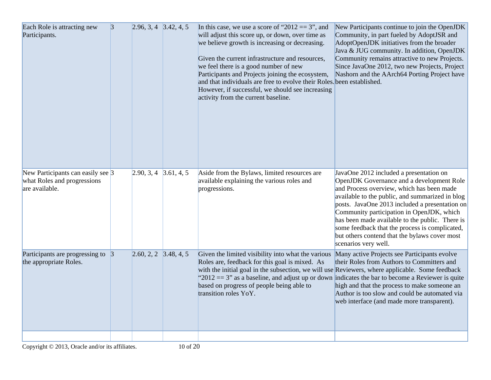| Each Role is attracting new<br>Participants.                                             | $\vert 3 \vert$ | $2.96, 3, 4$ 3.42, 4, 5 |            | In this case, we use a score of "2012 = $3$ ", and<br>will adjust this score up, or down, over time as<br>we believe growth is increasing or decreasing.<br>Given the current infrastructure and resources,<br>we feel there is a good number of new<br>Participants and Projects joining the ecosystem,<br>and that individuals are free to evolve their Roles. been established.<br>However, if successful, we should see increasing<br>activity from the current baseline. | New Participants continue to join the OpenJDK<br>Community, in part fueled by AdoptJSR and<br>AdoptOpenJDK initiatives from the broader<br>Java & JUG community. In addition, OpenJDK<br>Community remains attractive to new Projects.<br>Since JavaOne 2012, two new Projects, Project<br>Nashorn and the AArch64 Porting Project have                                                                                                                           |
|------------------------------------------------------------------------------------------|-----------------|-------------------------|------------|-------------------------------------------------------------------------------------------------------------------------------------------------------------------------------------------------------------------------------------------------------------------------------------------------------------------------------------------------------------------------------------------------------------------------------------------------------------------------------|-------------------------------------------------------------------------------------------------------------------------------------------------------------------------------------------------------------------------------------------------------------------------------------------------------------------------------------------------------------------------------------------------------------------------------------------------------------------|
| New Participants can easily see $\beta$<br>what Roles and progressions<br>are available. |                 | 2.90, 3, 4              | 3.61, 4, 5 | Aside from the Bylaws, limited resources are<br>available explaining the various roles and<br>progressions.                                                                                                                                                                                                                                                                                                                                                                   | JavaOne 2012 included a presentation on<br>OpenJDK Governance and a development Role<br>and Process overview, which has been made<br>available to the public, and summarized in blog<br>posts. JavaOne 2013 included a presentation on<br>Community participation in OpenJDK, which<br>has been made available to the public. There is<br>some feedback that the process is complicated,<br>but others contend that the bylaws cover most<br>scenarios very well. |
| Participants are progressing to 3<br>the appropriate Roles.                              |                 | $2.60, 2, 2$ 3.48, 4, 5 |            | Given the limited visibility into what the various<br>Roles are, feedback for this goal is mixed. As<br>with the initial goal in the subsection, we will use Reviewers, where applicable. Some feedback<br>"2012 = 3" as a baseline, and adjust up or down indicates the bar to become a Reviewer is quite<br>based on progress of people being able to<br>transition roles YoY.                                                                                              | Many active Projects see Participants evolve<br>their Roles from Authors to Committers and<br>high and that the process to make someone an<br>Author is too slow and could be automated via<br>web interface (and made more transparent).                                                                                                                                                                                                                         |
|                                                                                          |                 |                         |            |                                                                                                                                                                                                                                                                                                                                                                                                                                                                               |                                                                                                                                                                                                                                                                                                                                                                                                                                                                   |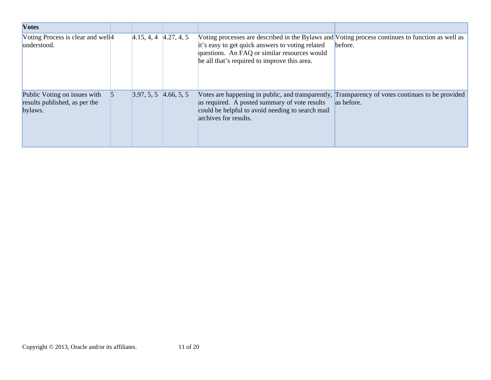| <b>Votes</b>                                                             |                         |            |                                                                                                                                                                                                                                                      |            |
|--------------------------------------------------------------------------|-------------------------|------------|------------------------------------------------------------------------------------------------------------------------------------------------------------------------------------------------------------------------------------------------------|------------|
| Voting Process is clear and well <sup>4</sup><br>understood.             | 4.15, 4, 4              | 4.27, 4, 5 | Voting processes are described in the Bylaws and Voting process continues to function as well as<br>it's easy to get quick answers to voting related<br>questions. An FAQ or similar resources would<br>be all that's required to improve this area. | before.    |
| Public Voting on issues with<br>results published, as per the<br>bylaws. | $3.97, 5, 5$ 4.66, 5, 5 |            | Votes are happening in public, and transparently, Transparency of votes continues to be provided<br>as required. A posted summary of vote results<br>could be helpful to avoid needing to search mail<br>archives for results.                       | as before. |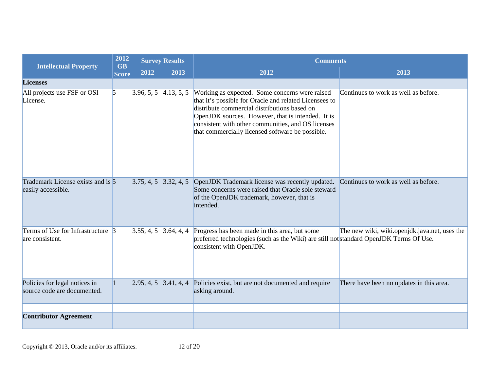| <b>Intellectual Property</b>                                 | 2012<br><b>GB</b> |                               | <b>Survey Results</b> | <b>Comments</b>                                                                                                                                                                                                                                                                                                         |                                               |  |
|--------------------------------------------------------------|-------------------|-------------------------------|-----------------------|-------------------------------------------------------------------------------------------------------------------------------------------------------------------------------------------------------------------------------------------------------------------------------------------------------------------------|-----------------------------------------------|--|
|                                                              | <b>Score</b>      | 2012                          | 2013                  | 2012                                                                                                                                                                                                                                                                                                                    | 2013                                          |  |
| <b>Licenses</b>                                              |                   |                               |                       |                                                                                                                                                                                                                                                                                                                         |                                               |  |
| All projects use FSF or OSI<br>License.                      | $\vert$ 5         | $3.96, 5, 5 \quad 4.13, 5, 5$ |                       | Working as expected. Some concerns were raised<br>that it's possible for Oracle and related Licensees to<br>distribute commercial distributions based on<br>OpenJDK sources. However, that is intended. It is<br>consistent with other communities, and OS licenses<br>that commercially licensed software be possible. | Continues to work as well as before.          |  |
| Trademark License exists and is 5<br>easily accessible.      |                   | $3.75, 4, 5$ $3.32, 4, 5$     |                       | OpenJDK Trademark license was recently updated.<br>Some concerns were raised that Oracle sole steward<br>of the OpenJDK trademark, however, that is<br>intended.                                                                                                                                                        | Continues to work as well as before.          |  |
| Terms of Use for Infrastructure $\beta$<br>are consistent.   |                   | 3.55, 4, 5                    | 3.64, 4, 4            | Progress has been made in this area, but some<br>preferred technologies (such as the Wiki) are still not standard OpenJDK Terms Of Use.<br>consistent with OpenJDK.                                                                                                                                                     | The new wiki, wiki.openjdk.java.net, uses the |  |
| Policies for legal notices in<br>source code are documented. |                   |                               |                       | $\left[2.95, 4, 5, 3.41, 4, 4\right]$ Policies exist, but are not documented and require<br>asking around.                                                                                                                                                                                                              | There have been no updates in this area.      |  |
|                                                              |                   |                               |                       |                                                                                                                                                                                                                                                                                                                         |                                               |  |
| <b>Contributor Agreement</b>                                 |                   |                               |                       |                                                                                                                                                                                                                                                                                                                         |                                               |  |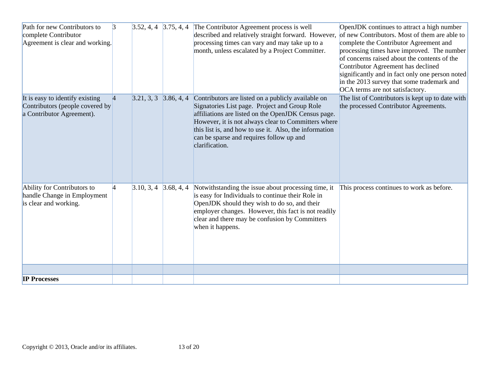| Path for new Contributors to    | $\vert 3 \vert$ | $3.52, 4, 4$ $3.75, 4, 4$ | The Contributor Agreement process is well                                                                     | OpenJDK continues to attract a high number       |
|---------------------------------|-----------------|---------------------------|---------------------------------------------------------------------------------------------------------------|--------------------------------------------------|
| complete Contributor            |                 |                           | described and relatively straight forward. However,                                                           | of new Contributors. Most of them are able to    |
| Agreement is clear and working. |                 |                           | processing times can vary and may take up to a                                                                | complete the Contributor Agreement and           |
|                                 |                 |                           | month, unless escalated by a Project Committer.                                                               | processing times have improved. The number       |
|                                 |                 |                           |                                                                                                               | of concerns raised about the contents of the     |
|                                 |                 |                           |                                                                                                               | Contributor Agreement has declined               |
|                                 |                 |                           |                                                                                                               | significantly and in fact only one person noted  |
|                                 |                 |                           |                                                                                                               | in the 2013 survey that some trademark and       |
|                                 |                 |                           |                                                                                                               | OCA terms are not satisfactory.                  |
| It is easy to identify existing | $\vert 4 \vert$ | $3.21, 3, 3$ $3.86, 4, 4$ | Contributors are listed on a publicly available on                                                            | The list of Contributors is kept up to date with |
| Contributors (people covered by |                 |                           | Signatories List page. Project and Group Role                                                                 | the processed Contributor Agreements.            |
| a Contributor Agreement).       |                 |                           | affiliations are listed on the OpenJDK Census page.                                                           |                                                  |
|                                 |                 |                           | However, it is not always clear to Committers where<br>this list is, and how to use it. Also, the information |                                                  |
|                                 |                 |                           | can be sparse and requires follow up and                                                                      |                                                  |
|                                 |                 |                           | clarification.                                                                                                |                                                  |
|                                 |                 |                           |                                                                                                               |                                                  |
|                                 |                 |                           |                                                                                                               |                                                  |
|                                 |                 |                           |                                                                                                               |                                                  |
|                                 |                 |                           |                                                                                                               |                                                  |
| Ability for Contributors to     | $\overline{4}$  | $3.10, 3, 4$ 3.68, 4, 4   | Notwithstanding the issue about processing time, it                                                           | This process continues to work as before.        |
| handle Change in Employment     |                 |                           | is easy for Individuals to continue their Role in                                                             |                                                  |
| is clear and working.           |                 |                           | OpenJDK should they wish to do so, and their                                                                  |                                                  |
|                                 |                 |                           | employer changes. However, this fact is not readily                                                           |                                                  |
|                                 |                 |                           | clear and there may be confusion by Committers                                                                |                                                  |
|                                 |                 |                           | when it happens.                                                                                              |                                                  |
|                                 |                 |                           |                                                                                                               |                                                  |
|                                 |                 |                           |                                                                                                               |                                                  |
|                                 |                 |                           |                                                                                                               |                                                  |
|                                 |                 |                           |                                                                                                               |                                                  |
|                                 |                 |                           |                                                                                                               |                                                  |
| <b>IP Processes</b>             |                 |                           |                                                                                                               |                                                  |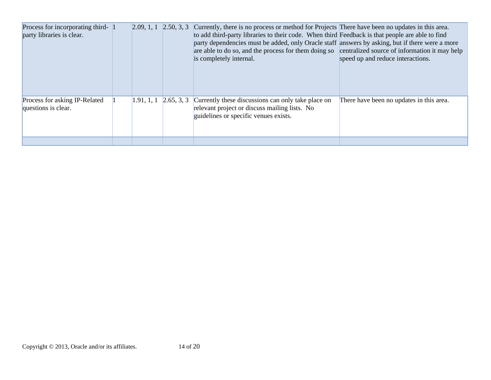| Process for incorporating third-<br>party libraries is clear. | 2.09, 1, 1 | 2.50, 3, 3 Currently, there is no process or method for Projects There have been no updates in this area.<br>to add third-party libraries to their code. When third Feedback is that people are able to find<br>party dependencies must be added, only Oracle staff answers by asking, but if there were a more<br>are able to do so, and the process for them doing so centralized source of information it may help<br>is completely internal. | speed up and reduce interactions.        |
|---------------------------------------------------------------|------------|--------------------------------------------------------------------------------------------------------------------------------------------------------------------------------------------------------------------------------------------------------------------------------------------------------------------------------------------------------------------------------------------------------------------------------------------------|------------------------------------------|
| Process for asking IP-Related<br>questions is clear.          | 1.91, 1, 1 | $\left[2.65, 3, 3\right]$ Currently these discussions can only take place on<br>relevant project or discuss mailing lists. No<br>guidelines or specific venues exists.                                                                                                                                                                                                                                                                           | There have been no updates in this area. |
|                                                               |            |                                                                                                                                                                                                                                                                                                                                                                                                                                                  |                                          |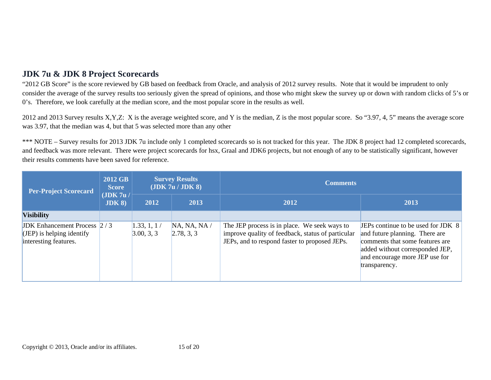# **JDK 7u & JDK 8 Project Scorecards**

"2012 GB Score" is the score reviewed by GB based on feedback from Oracle, and analysis of 2012 survey results. Note that it would be imprudent to only consider the average of the survey results too seriously given the spread of opinions, and those who might skew the survey up or down with random clicks of 5's or 0's. Therefore, we look carefully at the median score, and the most popular score in the results as well.

2012 and 2013 Survey results X,Y,Z: X is the average weighted score, and Y is the median, Z is the most popular score. So "3.97, 4, 5" means the average score was 3.97, that the median was 4, but that 5 was selected more than any other

\*\*\* NOTE – Survey results for 2013 JDK 7u include only 1 completed scorecards so is not tracked for this year. The JDK 8 project had 12 completed scorecards, and feedback was more relevant. There were project scorecards for hsx, Graal and JDK6 projects, but not enough of any to be statistically significant, however their results comments have been saved for reference.

| <b>Per-Project Scorecard</b>                                                                 | 2012 GB<br><b>Score</b><br>(JDK 7u/<br>JDK 8 | <b>Survey Results</b><br>(JDK 7u / JDK 8) |                            | <b>Comments</b>                                                                                                                                    |                                                                                                                                                                                               |
|----------------------------------------------------------------------------------------------|----------------------------------------------|-------------------------------------------|----------------------------|----------------------------------------------------------------------------------------------------------------------------------------------------|-----------------------------------------------------------------------------------------------------------------------------------------------------------------------------------------------|
|                                                                                              |                                              | 2012                                      | 2013                       | 2012                                                                                                                                               | 2013                                                                                                                                                                                          |
| <b>Visibility</b>                                                                            |                                              |                                           |                            |                                                                                                                                                    |                                                                                                                                                                                               |
| <b>JDK</b> Enhancement Process $2/3$<br>$(JEP)$ is helping identify<br>interesting features. |                                              | 1.33, 1, 1/<br>3.00, 3, 3                 | NA, NA, NA /<br>2.78, 3, 3 | The JEP process is in place. We seek ways to<br>improve quality of feedback, status of particular<br>JEPs, and to respond faster to proposed JEPs. | JEPs continue to be used for JDK 8<br>and future planning. There are<br>comments that some features are<br>added without corresponded JEP,<br>and encourage more JEP use for<br>transparency. |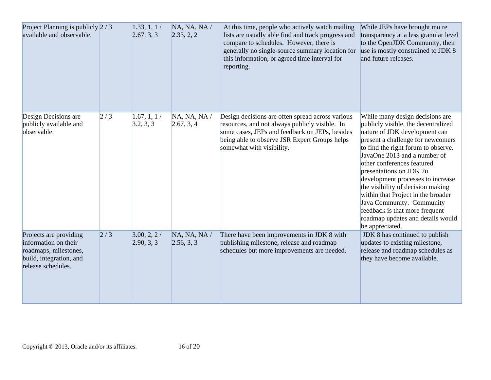| Project Planning is publicly $2/3$<br>available and observable.                                                          |     | 1.33, 1, 1/<br>2.67, 3, 3 | NA, NA, NA /<br>2.33, 2, 2 | At this time, people who actively watch mailing<br>lists are usually able find and track progress and<br>compare to schedules. However, there is<br>generally no single-source summary location for<br>this information, or agreed time interval for<br>reporting. | While JEPs have brought mo re<br>transparency at a less granular level<br>to the OpenJDK Community, their<br>use is mostly constrained to JDK 8<br>and future releases.                                                                                                                                                                                                                                                                                                                                             |
|--------------------------------------------------------------------------------------------------------------------------|-----|---------------------------|----------------------------|--------------------------------------------------------------------------------------------------------------------------------------------------------------------------------------------------------------------------------------------------------------------|---------------------------------------------------------------------------------------------------------------------------------------------------------------------------------------------------------------------------------------------------------------------------------------------------------------------------------------------------------------------------------------------------------------------------------------------------------------------------------------------------------------------|
| Design Decisions are<br>publicly available and<br>observable.                                                            | 2/3 | 1.67, 1, 1/<br>3.2, 3, 3  | NA, NA, NA /<br>2.67, 3, 4 | Design decisions are often spread across various<br>resources, and not always publicly visible. In<br>some cases, JEPs and feedback on JEPs, besides<br>being able to observe JSR Expert Groups helps<br>somewhat with visibility.                                 | While many design decisions are<br>publicly visible, the decentralized<br>nature of JDK development can<br>present a challenge for newcomers<br>to find the right forum to observe.<br>JavaOne 2013 and a number of<br>other conferences featured<br>presentations on JDK 7u<br>development processes to increase<br>the visibility of decision making<br>within that Project in the broader<br>Java Community. Community<br>feedback is that more frequent<br>roadmap updates and details would<br>be appreciated. |
| Projects are providing<br>information on their<br>roadmaps, milestones,<br>build, integration, and<br>release schedules. | 2/3 | 3.00, 2, 2/<br>2.90, 3, 3 | NA, NA, NA /<br>2.56, 3, 3 | There have been improvements in JDK 8 with<br>publishing milestone, release and roadmap<br>schedules but more improvements are needed.                                                                                                                             | JDK 8 has continued to publish<br>updates to existing milestone,<br>release and roadmap schedules as<br>they have become available.                                                                                                                                                                                                                                                                                                                                                                                 |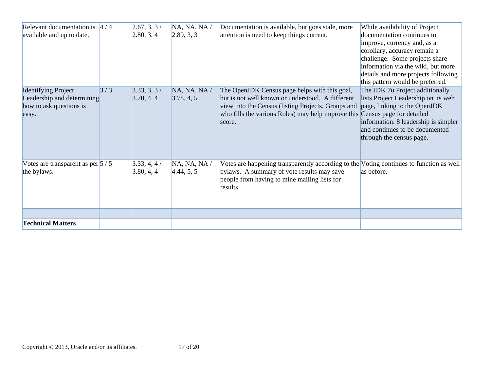| Relevant documentation is $4/4$<br>available and up to date.                                 |     | 2.67, 3, 3/<br>[2.80, 3, 4] | NA, NA, NA /<br>2.89, 3, 3 | Documentation is available, but goes stale, more<br>attention is need to keep things current.                                                                                                                                                    | While availability of Project<br>documentation continues to<br>improve, currency and, as a<br>corollary, accuracy remain a<br>challenge. Some projects share<br>information via the wiki, but more<br>details and more projects following<br>this pattern would be preferred. |
|----------------------------------------------------------------------------------------------|-----|-----------------------------|----------------------------|--------------------------------------------------------------------------------------------------------------------------------------------------------------------------------------------------------------------------------------------------|-------------------------------------------------------------------------------------------------------------------------------------------------------------------------------------------------------------------------------------------------------------------------------|
| <b>Identifying Project</b><br>Leadership and determining<br>how to ask questions is<br>easy. | 3/3 | 3.33, 3, 3/<br>3.70, 4, 4   | NA, NA, NA /<br>3.78, 4, 5 | The OpenJDK Census page helps with this goal,<br>but is not well known or understood. A different<br>view into the Census (listing Projects, Groups and<br>who fills the various Roles) may help improve this Census page for detailed<br>score. | The JDK 7u Project additionally<br>lists Project Leadership on its web<br>page, linking to the OpenJDK<br>information. 8 leadership is simpler<br>and continues to be documented<br>through the census page.                                                                  |
| Votes are transparent as per $5/5$<br>the bylaws.                                            |     | 3.33, 4, 4/<br>3.80, 4, 4   | NA, NA, NA /<br>4.44, 5, 5 | Votes are happening transparently according to the Voting continues to function as well<br>bylaws. A summary of vote results may save<br>people from having to mine mailing lists for<br>results.                                                | as before.                                                                                                                                                                                                                                                                    |
| <b>Technical Matters</b>                                                                     |     |                             |                            |                                                                                                                                                                                                                                                  |                                                                                                                                                                                                                                                                               |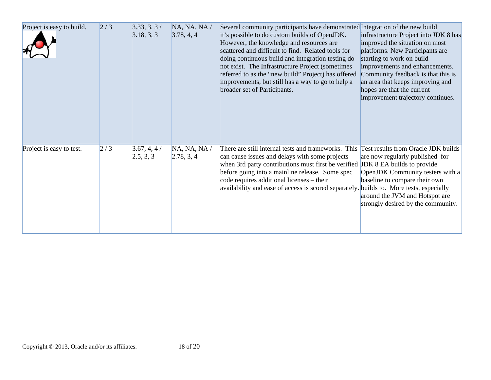| Project is easy to build. | 2/3 | 3.33, 3, 3/<br>3.18, 3, 3 | NA, NA, NA /<br>3.78, 4, 4 | Several community participants have demonstrated Integration of the new build<br>it's possible to do custom builds of OpenJDK.<br>However, the knowledge and resources are<br>scattered and difficult to find. Related tools for<br>doing continuous build and integration testing do<br>not exist. The Infrastructure Project (sometimes<br>referred to as the "new build" Project) has offered<br>improvements, but still has a way to go to help a<br>broader set of Participants. | infrastructure Project into JDK 8 has<br>improved the situation on most<br>platforms. New Participants are<br>starting to work on build<br>improvements and enhancements.<br>Community feedback is that this is<br>an area that keeps improving and<br>hopes are that the current<br>improvement trajectory continues. |
|---------------------------|-----|---------------------------|----------------------------|---------------------------------------------------------------------------------------------------------------------------------------------------------------------------------------------------------------------------------------------------------------------------------------------------------------------------------------------------------------------------------------------------------------------------------------------------------------------------------------|------------------------------------------------------------------------------------------------------------------------------------------------------------------------------------------------------------------------------------------------------------------------------------------------------------------------|
| Project is easy to test.  | 2/3 | 3.67, 4, 4/<br>2.5, 3, 3  | NA, NA, NA /<br>2.78, 3, 4 | There are still internal tests and frameworks. This<br>can cause issues and delays with some projects<br>when 3rd party contributions must first be verified<br>before going into a mainline release. Some spec<br>code requires additional licenses – their<br>availability and ease of access is scored separately.                                                                                                                                                                 | Test results from Oracle JDK builds<br>are now regularly published for<br><b>JDK</b> 8 EA builds to provide<br>OpenJDK Community testers with a<br>baseline to compare their own<br>builds to. More tests, especially<br>around the JVM and Hotspot are<br>strongly desired by the community.                          |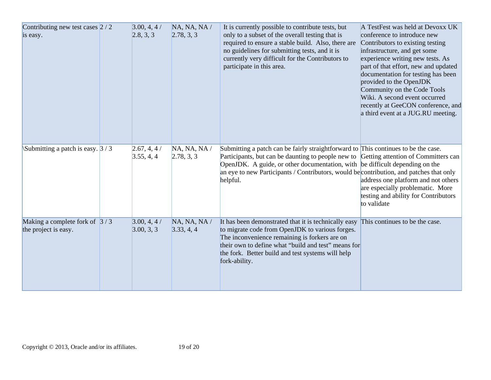| Contributing new test cases $2/2$<br>is easy.           | 3.00, 4, 4/<br>[2.8, 3, 3] | NA, NA, NA /<br>2.78, 3, 3 | It is currently possible to contribute tests, but<br>only to a subset of the overall testing that is<br>required to ensure a stable build. Also, there are<br>no guidelines for submitting tests, and it is<br>currently very difficult for the Contributors to<br>participate in this area.                                                                        | A TestFest was held at Devoxx UK<br>conference to introduce new<br>Contributors to existing testing<br>infrastructure, and get some<br>experience writing new tests. As<br>part of that effort, new and updated<br>documentation for testing has been<br>provided to the OpenJDK<br>Community on the Code Tools<br>Wiki. A second event occurred<br>recently at GeeCON conference, and<br>a third event at a JUG.RU meeting. |
|---------------------------------------------------------|----------------------------|----------------------------|---------------------------------------------------------------------------------------------------------------------------------------------------------------------------------------------------------------------------------------------------------------------------------------------------------------------------------------------------------------------|------------------------------------------------------------------------------------------------------------------------------------------------------------------------------------------------------------------------------------------------------------------------------------------------------------------------------------------------------------------------------------------------------------------------------|
| Submitting a patch is easy. $3/3$                       | 2.67, 4, 4/<br>3.55, 4, 4  | NA, NA, NA /<br>2.78, 3, 3 | Submitting a patch can be fairly straightforward to This continues to be the case.<br>Participants, but can be daunting to people new to Getting attention of Committers can<br>OpenJDK. A guide, or other documentation, with be difficult depending on the<br>an eye to new Participants / Contributors, would be contribution, and patches that only<br>helpful. | address one platform and not others<br>are especially problematic. More<br>testing and ability for Contributors<br>to validate                                                                                                                                                                                                                                                                                               |
| Making a complete fork of $3/3$<br>the project is easy. | 3.00, 4, 4/<br>3.00, 3, 3  | NA, NA, NA /<br>3.33, 4, 4 | It has been demonstrated that it is technically easy<br>to migrate code from OpenJDK to various forges.<br>The inconvenience remaining is forkers are on<br>their own to define what "build and test" means for<br>the fork. Better build and test systems will help<br>fork-ability.                                                                               | This continues to be the case.                                                                                                                                                                                                                                                                                                                                                                                               |